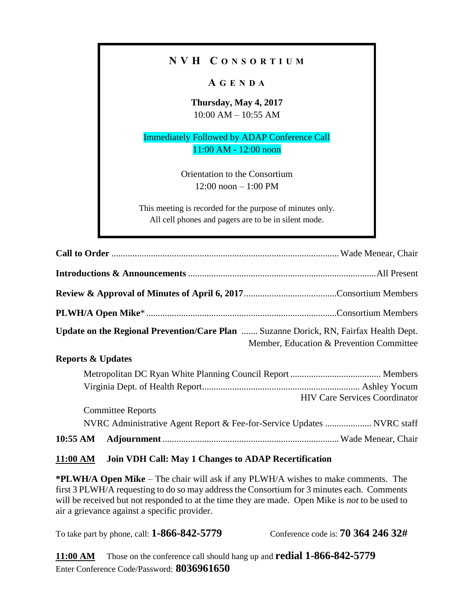## **N V H C O N S O R T I U M**

## **A G E N D A**

**Thursday, May 4, 2017** 10:00 AM – 10:55 AM

Immediately Followed by ADAP Conference Call 11:00 AM - 12:00 noon

> Orientation to the Consortium 12:00 noon – 1:00 PM

This meeting is recorded for the purpose of minutes only. All cell phones and pagers are to be in silent mode.

| <b>Update on the Regional Prevention/Care Plan  Suzanne Dorick, RN, Fairfax Health Dept.</b> | Member, Education & Prevention Committee                               |
|----------------------------------------------------------------------------------------------|------------------------------------------------------------------------|
| <b>Reports &amp; Updates</b>                                                                 |                                                                        |
|                                                                                              |                                                                        |
|                                                                                              | <b>HIV Care Services Coordinator</b>                                   |
| <b>Committee Reports</b>                                                                     |                                                                        |
|                                                                                              | NVRC Administrative Agent Report & Fee-for-Service Updates  NVRC staff |
| $10:55 \text{ AM}$                                                                           |                                                                        |

## **11:00 AM Join VDH Call: May 1 Changes to ADAP Recertification**

**\*PLWH/A Open Mike** – The chair will ask if any PLWH/A wishes to make comments. The first 3 PLWH/A requesting to do so may address the Consortium for 3 minutes each. Comments will be received but not responded to at the time they are made. Open Mike is *not* to be used to air a grievance against a specific provider.

To take part by phone, call: **1-866-842-5779** Conference code is: **70 364 246 32#**

**11:00 AM** Those on the conference call should hang up and **redial 1-866**‐**842**‐**5779** Enter Conference Code/Password: **8036961650**